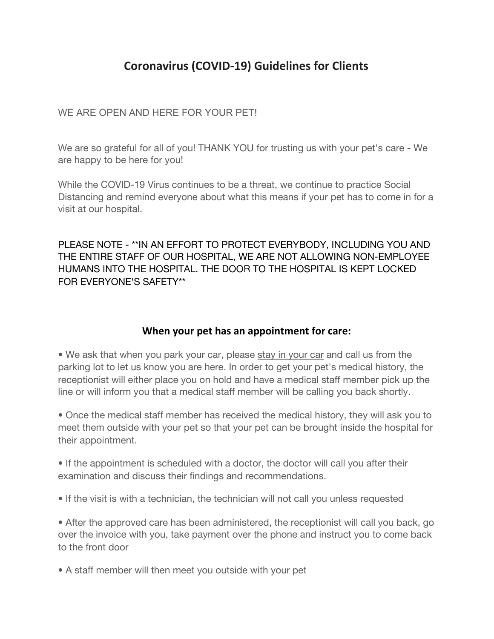## **Coronavirus (COVID-19) Guidelines for Clients**

WE ARE OPEN AND HERE FOR YOUR PETI

We are so grateful for all of you! THANK YOU for trusting us with your pet's care - We are happy to be here for you!

While the COVID-19 Virus continues to be a threat, we continue to practice Social Distancing and remind everyone about what this means if your pet has to come in for a visit at our hospital.

PLEASE NOTE - \*\*IN AN EFFORT TO PROTECT EVERYBODY, INCLUDING YOU AND THE ENTIRE STAFF OF OUR HOSPITAL, WE ARE NOT ALLOWING NON-EMPLOYEE HUMANS INTO THE HOSPITAL. THE DOOR TO THE HOSPITAL IS KEPT LOCKED FOR EVERYONE'S SAFETY\*\*

## **When your pet has an appointment for care:**

• We ask that when you park your car, please stay in your car and call us from the parking lot to let us know you are here. In order to get your pet's medical history, the receptionist will either place you on hold and have a medical staff member pick up the line or will inform you that a medical staff member will be calling you back shortly.

• Once the medical staff member has received the medical history, they will ask you to meet them outside with your pet so that your pet can be brought inside the hospital for their appointment.

• If the appointment is scheduled with a doctor, the doctor will call you after their examination and discuss their findings and recommendations.

• If the visit is with a technician, the technician will not call you unless requested

• After the approved care has been administered, the receptionist will call you back, go over the invoice with you, take payment over the phone and instruct you to come back to the front door

• A staff member will then meet you outside with your pet